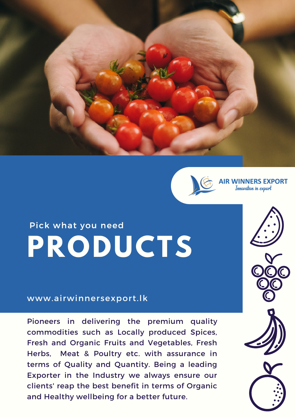



**R WINNERS EXPORT** Innovation in export

### Pick [what](https://www.tecan.com/campaign/pick-what-you-need) you ne[ed](https://www.tecan.com/campaign/pick-what-you-need) **PRODUCTS**

#### www.[airwinnersexport.lk](https://www.tecan.com/campaign/pick-what-you-need)

Pioneers in delivering the premium quality commodities such as Locally produced Spices, Fresh and Organic Fruits and Vegetables, Fresh Herbs, Meat & Poultry etc. with assurance in terms of Quality and Quantity. Being a leading Exporter in the Industry we always ensure our clients' reap the best benefit in terms of Organic and Healthy wellbeing for a better future.

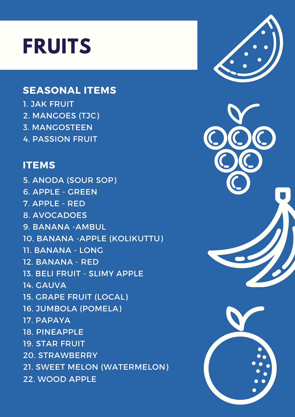## **FRUITS**

### **SEASONAL ITEMS**

1. JAK FRUIT 2. MANGOES (TJC) 3. MANGOSTEEN 4. PASSION FRUIT

#### **ITEMS**

5. ANODA (SOUR SOP) 6. APPLE - GREEN 7. APPLE - RED 8. AVOCADOES 9. BANANA -AMBUL 10. BANANA -APPLE (KOLIKUTTU) 11. BANANA - LONG 12. BANANA - RED 13. BELI FRUIT - SLIMY APPLE 14. GAUVA 15. GRAPE FRUIT (LOCAL) 16. JUMBOLA (POMELA) 17. PAPAYA 18. PINEAPPLE 19. STAR FRUIT 20. STRAWBERRY 21. SWEET MELON (WATERMELON) 22. WOOD APPLE

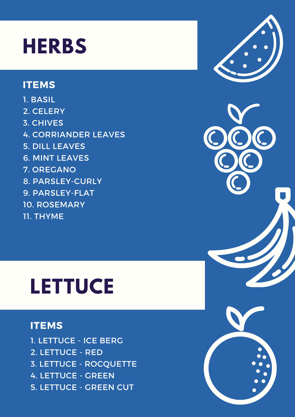## **HERBS**

### **ITEMS**

1. BASIL 2. CELERY 3. CHIVES 4. CORRIANDER LEAVES 5. DILL LEAVES 6. MINT LEAVES 7. OREGANO 8. PARSLEY-CURLY 9. PARSLEY-FLAT 10. ROSEMARY 11. THYME

# **LETTUCE**

### **ITEMS**

1. LETTUCE - ICE BERG 2. LETTUCE - RED 3. LETTUCE - ROCQUETTE 4. LETTUCE - GREEN 5. LETTUCE - GREEN CUT

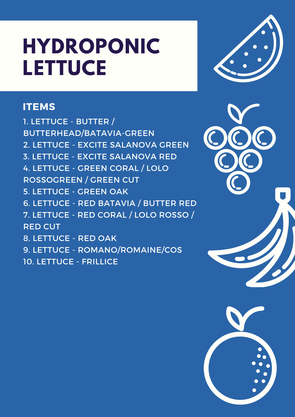## **HYDROPONIC LETTUCE**

### **ITEMS**

1. LETTUCE - BUTTER / BUTTERHEAD/BATAVIA-GREEN 2. LETTUCE - EXCITE SALANOVA GREEN 3. LETTUCE - EXCITE SALANOVA RED 4. LETTUCE - GREEN CORAL / LOLO ROSSOGREEN / GREEN CUT 5. LETTUCE - GREEN OAK 6. LETTUCE - RED BATAVIA / BUTTER RED 7. LETTUCE - RED CORAL / LOLO ROSSO / RED CUT 8. LETTUCE - RED OAK 9. LETTUCE - ROMANO/ROMAINE/COS 10. LETTUCE - FRILLICE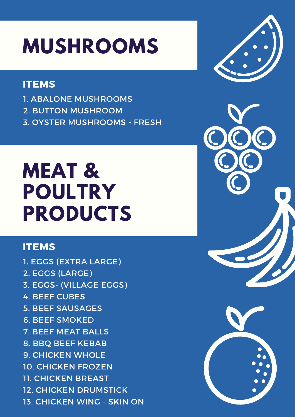# **MUSHROOMS**

### **ITEMS**

- 1. ABALONE MUSHROOMS
- 2. BUTTON MUSHROOM
- 3. OYSTER MUSHROOMS FRESH

### **MEAT & POULTRY PRODUCTS**

### **ITEMS**

1. EGGS (EXTRA LARGE) 2. EGGS (LARGE) 3. EGGS- (VILLAGE EGGS) 4. BEEF CUBES 5. BEEF SAUSAGES 6. BEEF SMOKED 7. BEEF MEAT BALLS 8. BBQ BEEF KEBAB 9. CHICKEN WHOLE 10. CHICKEN FROZEN 11. CHICKEN BREAST 12. CHICKEN DRUMSTICK 13. CHICKEN WING - SKIN ON

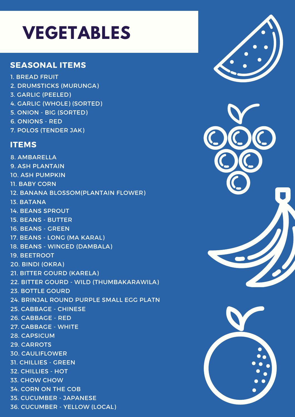### **VEGETABLES**

#### **SEASONAL ITEMS**

1. BREAD FRUIT 2. DRUMSTICKS (MURUNGA) 3. GARLIC (PEELED) 4. GARLIC (WHOLE) (SORTED) 5. ONION - BIG (SORTED) 6. ONIONS - RED 7. POLOS (TENDER JAK) **ITEMS** 8. AMBARELLA 9. ASH PLANTAIN 10. ASH PUMPKIN 11. BABY CORN 12. BANANA BLOSSOM(PLANTAIN FLOWER) 13. BATANA 14. BEANS SPROUT 15. BEANS - BUTTER 16. BEANS - GREEN 17. BEANS - LONG (MA KARAL) 18. BEANS - WINGED (DAMBALA) 19. BEETROOT 20. BINDI (OKRA) 21. BITTER GOURD (KARELA) 22. BITTER GOURD - WILD (THUMBAKARAWILA) 23. BOTTLE GOURD 24. BRINJAL ROUND PURPLE SMALL EGG PLATN 25. CABBAGE - CHINESE 26. CABBAGE - RED 27. CABBAGE - WHITE 28. CAPSICUM 29. CARROTS 30. CAULIFLOWER 31. CHILLIES - GREEN 32. CHILLIES - HOT 33. CHOW CHOW 34. CORN ON THE COB 35. CUCUMBER - JAPANESE

36. CUCUMBER - YELLOW (LOCAL)

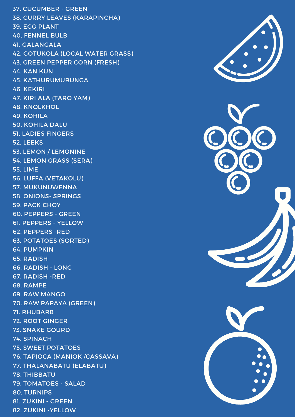37. CUCUMBER - GREEN 38. CURRY LEAVES (KARAPINCHA) 39. EGG PLANT 40. FENNEL BULB 41. GALANGALA 42. GOTUKOLA (LOCAL WATER GRASS) 43. GREEN PEPPER CORN (FRESH) 44. KAN KUN 45. KATHURUMURUNGA 46. KEKIRI 47. KIRI ALA (TARO YAM) 48. KNOLKHOL 49. KOHILA 50. KOHILA DALU 51. LADIES FINGERS 52. LEEKS 53. LEMON / LEMONINE 54. LEMON GRASS (SERA) 55. LIME 56. LUFFA (VETAKOLU) 57. MUKUNUWENNA 58. ONIONS- SPRINGS 59. PACK CHOY 60. PEPPERS - GREEN 61. PEPPERS - YELLOW 62. PEPPERS -RED 63. POTATOES (SORTED) 64. PUMPKIN 65. RADISH 66. RADISH - LONG 67. RADISH -RED 68. RAMPE 69. RAW MANGO 70. RAW PAPAYA (GREEN) 71. RHUBARB 72. ROOT GINGER 73. SNAKE GOURD 74. SPINACH 75. SWEET POTATOES 76. TAPIOCA (MANIOK /CASSAVA) 77. THALANABATU (ELABATU) 78. THIBBATU 79. TOMATOES - SALAD 80. TURNIPS 81. ZUKINI - GREEN 82. ZUKINI -YELLOW



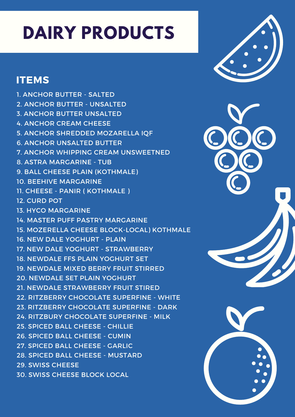### **DAIRY PRODUCTS**

### **ITEMS**

1. ANCHOR BUTTER - SALTED 2. ANCHOR BUTTER - UNSALTED 3. ANCHOR BUTTER UNSALTED 4. ANCHOR CREAM CHEESE 5. ANCHOR SHREDDED MOZARELLA IQF 6. ANCHOR UNSALTED BUTTER 7. ANCHOR WHIPPING CREAM UNSWEETNED 8. ASTRA MARGARINE - TUB 9. BALL CHEESE PLAIN (KOTHMALE) 10. BEEHIVE MARGARINE 11. CHEESE - PANIR ( KOTHMALE ) 12. CURD POT 13. HYCO MARGARINE 14. MASTER PUFF PASTRY MARGARINE 15. MOZERELLA CHEESE BLOCK-LOCAL) KOTHMALE 16. NEW DALE YOGHURT - PLAIN 17. NEW DALE YOGHURT - STRAWBERRY 18. NEWDALE FFS PLAIN YOGHURT SET 19. NEWDALE MIXED BERRY FRUIT STIRRED 20. NEWDALE SET PLAIN YOGHURT 21. NEWDALE STRAWBERRY FRUIT STIRED 22. RITZBERRY CHOCOLATE SUPERFINE - WHITE 23. RITZBERRY CHOCOLATE SUPERFINE - DARK 24. RITZBURY CHOCOLATE SUPERFINE - MILK 25. SPICED BALL CHEESE - CHILLIE 26. SPICED BALL CHEESE - CUMIN 27. SPICED BALL CHEESE - GARLIC 28. SPICED BALL CHEESE - MUSTARD 29. SWISS CHEESE 30. SWISS CHEESE BLOCK LOCAL